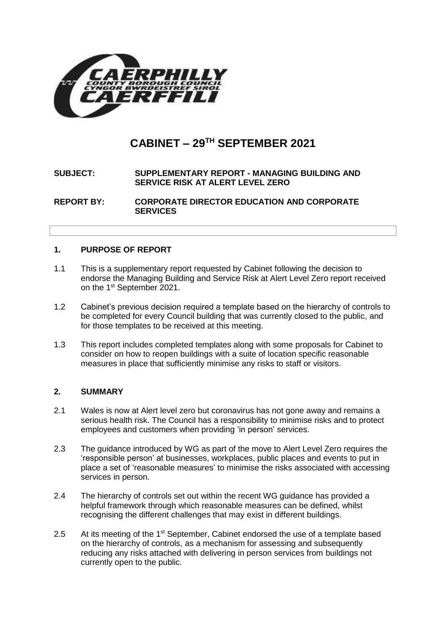

# **CABINET – 29TH SEPTEMBER 2021**

## **SUBJECT: SUPPLEMENTARY REPORT - MANAGING BUILDING AND SERVICE RISK AT ALERT LEVEL ZERO**

**REPORT BY: CORPORATE DIRECTOR EDUCATION AND CORPORATE SERVICES**

## **1. PURPOSE OF REPORT**

- 1.1 This is a supplementary report requested by Cabinet following the decision to endorse the Managing Building and Service Risk at Alert Level Zero report received on the 1<sup>st</sup> September 2021.
- 1.2 Cabinet's previous decision required a template based on the hierarchy of controls to be completed for every Council building that was currently closed to the public, and for those templates to be received at this meeting.
- 1.3 This report includes completed templates along with some proposals for Cabinet to consider on how to reopen buildings with a suite of location specific reasonable measures in place that sufficiently minimise any risks to staff or visitors.

## **2. SUMMARY**

- 2.1 Wales is now at Alert level zero but coronavirus has not gone away and remains a serious health risk. The Council has a responsibility to minimise risks and to protect employees and customers when providing 'in person' services.
- 2.3 The guidance introduced by WG as part of the move to Alert Level Zero requires the 'responsible person' at businesses, workplaces, public places and events to put in place a set of 'reasonable measures' to minimise the risks associated with accessing services in person.
- 2.4 The hierarchy of controls set out within the recent WG guidance has provided a helpful framework through which reasonable measures can be defined, whilst recognising the different challenges that may exist in different buildings.
- 2.5 At its meeting of the 1<sup>st</sup> September, Cabinet endorsed the use of a template based on the hierarchy of controls, as a mechanism for assessing and subsequently reducing any risks attached with delivering in person services from buildings not currently open to the public.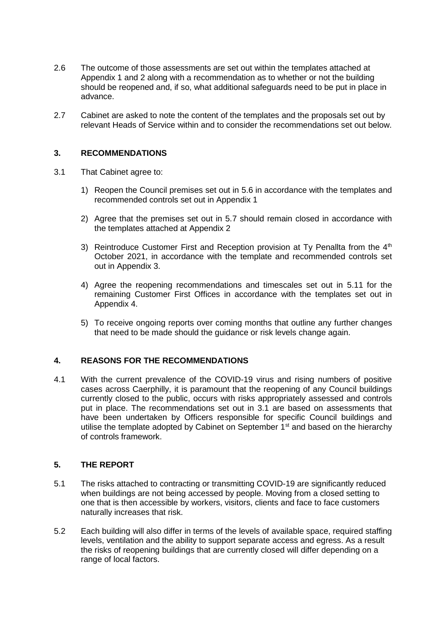- 2.6 The outcome of those assessments are set out within the templates attached at Appendix 1 and 2 along with a recommendation as to whether or not the building should be reopened and, if so, what additional safeguards need to be put in place in advance.
- 2.7 Cabinet are asked to note the content of the templates and the proposals set out by relevant Heads of Service within and to consider the recommendations set out below.

## **3. RECOMMENDATIONS**

- 3.1 That Cabinet agree to:
	- 1) Reopen the Council premises set out in 5.6 in accordance with the templates and recommended controls set out in Appendix 1
	- 2) Agree that the premises set out in 5.7 should remain closed in accordance with the templates attached at Appendix 2
	- 3) Reintroduce Customer First and Reception provision at Ty Penallta from the  $4<sup>th</sup>$ October 2021, in accordance with the template and recommended controls set out in Appendix 3.
	- 4) Agree the reopening recommendations and timescales set out in 5.11 for the remaining Customer First Offices in accordance with the templates set out in Appendix 4.
	- 5) To receive ongoing reports over coming months that outline any further changes that need to be made should the guidance or risk levels change again.

#### **4. REASONS FOR THE RECOMMENDATIONS**

4.1 With the current prevalence of the COVID-19 virus and rising numbers of positive cases across Caerphilly, it is paramount that the reopening of any Council buildings currently closed to the public, occurs with risks appropriately assessed and controls put in place. The recommendations set out in 3.1 are based on assessments that have been undertaken by Officers responsible for specific Council buildings and utilise the template adopted by Cabinet on September 1<sup>st</sup> and based on the hierarchy of controls framework.

## **5. THE REPORT**

- 5.1 The risks attached to contracting or transmitting COVID-19 are significantly reduced when buildings are not being accessed by people. Moving from a closed setting to one that is then accessible by workers, visitors, clients and face to face customers naturally increases that risk.
- 5.2 Each building will also differ in terms of the levels of available space, required staffing levels, ventilation and the ability to support separate access and egress. As a result the risks of reopening buildings that are currently closed will differ depending on a range of local factors.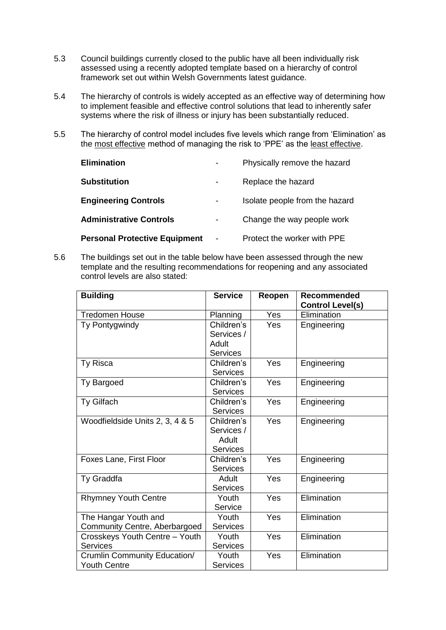- 5.3 Council buildings currently closed to the public have all been individually risk assessed using a recently adopted template based on a hierarchy of control framework set out within Welsh Governments latest guidance.
- 5.4 The hierarchy of controls is widely accepted as an effective way of determining how to implement feasible and effective control solutions that lead to inherently safer systems where the risk of illness or injury has been substantially reduced.
- 5.5 The hierarchy of control model includes five levels which range from 'Elimination' as the most effective method of managing the risk to 'PPE' as the least effective.

| <b>Elimination</b>                   |                          | Physically remove the hazard   |
|--------------------------------------|--------------------------|--------------------------------|
| <b>Substitution</b>                  |                          | Replace the hazard             |
| <b>Engineering Controls</b>          |                          | Isolate people from the hazard |
| <b>Administrative Controls</b>       | $\overline{\phantom{a}}$ | Change the way people work     |
| <b>Personal Protective Equipment</b> |                          | Protect the worker with PPE    |

5.6 The buildings set out in the table below have been assessed through the new template and the resulting recommendations for reopening and any associated control levels are also stated:

| <b>Building</b>                 | <b>Service</b>  | Reopen | <b>Recommended</b><br><b>Control Level(s)</b> |
|---------------------------------|-----------------|--------|-----------------------------------------------|
| <b>Tredomen House</b>           | Planning        | Yes    | Elimination                                   |
| Ty Pontygwindy                  | Children's      | Yes    | Engineering                                   |
|                                 | Services /      |        |                                               |
|                                 | Adult           |        |                                               |
|                                 | <b>Services</b> |        |                                               |
| Ty Risca                        | Children's      | Yes    | Engineering                                   |
|                                 | <b>Services</b> |        |                                               |
| Ty Bargoed                      | Children's      | Yes    | Engineering                                   |
|                                 | <b>Services</b> |        |                                               |
| Ty Gilfach                      | Children's      | Yes    | Engineering                                   |
|                                 | <b>Services</b> |        |                                               |
| Woodfieldside Units 2, 3, 4 & 5 | Children's      | Yes    | Engineering                                   |
|                                 | Services /      |        |                                               |
|                                 | Adult           |        |                                               |
|                                 | <b>Services</b> |        |                                               |
| Foxes Lane, First Floor         | Children's      | Yes    | Engineering                                   |
|                                 | <b>Services</b> |        |                                               |
| Ty Graddfa                      | Adult           | Yes    | Engineering                                   |
|                                 | <b>Services</b> |        |                                               |
| <b>Rhymney Youth Centre</b>     | Youth           | Yes    | Elimination                                   |
|                                 | <b>Service</b>  |        |                                               |
| The Hangar Youth and            | Youth           | Yes    | Elimination                                   |
| Community Centre, Aberbargoed   | <b>Services</b> |        |                                               |
| Crosskeys Youth Centre - Youth  | Youth           | Yes    | Elimination                                   |
| <b>Services</b>                 | <b>Services</b> |        |                                               |
| Crumlin Community Education/    | Youth           | Yes    | Elimination                                   |
| <b>Youth Centre</b>             | <b>Services</b> |        |                                               |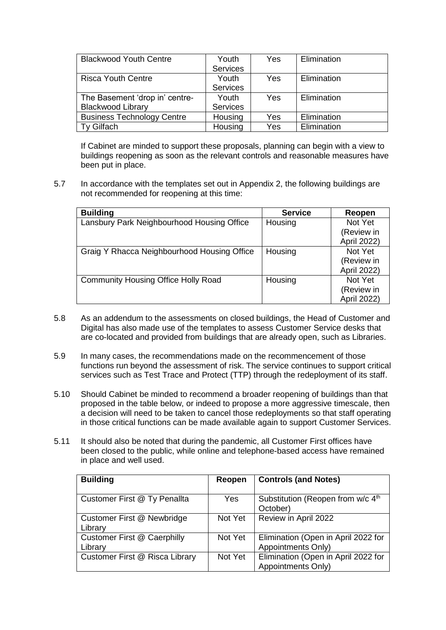| <b>Blackwood Youth Centre</b>     | Youth           | Yes | Elimination |
|-----------------------------------|-----------------|-----|-------------|
|                                   | <b>Services</b> |     |             |
| <b>Risca Youth Centre</b>         | Youth           | Yes | Elimination |
|                                   | <b>Services</b> |     |             |
| The Basement 'drop in' centre-    | Youth           | Yes | Elimination |
| <b>Blackwood Library</b>          | <b>Services</b> |     |             |
| <b>Business Technology Centre</b> | Housing         | Yes | Elimination |
| Gilfach                           | Housing         | Yes | Elimination |

If Cabinet are minded to support these proposals, planning can begin with a view to buildings reopening as soon as the relevant controls and reasonable measures have been put in place.

5.7 In accordance with the templates set out in Appendix 2, the following buildings are not recommended for reopening at this time:

| <b>Building</b>                             | <b>Service</b> | Reopen      |
|---------------------------------------------|----------------|-------------|
| Lansbury Park Neighbourhood Housing Office  | Housing        | Not Yet     |
|                                             |                | (Review in  |
|                                             |                | April 2022) |
| Graig Y Rhacca Neighbourhood Housing Office | Housing        | Not Yet     |
|                                             |                | (Review in  |
|                                             |                | April 2022) |
| <b>Community Housing Office Holly Road</b>  | Housing        | Not Yet     |
|                                             |                | (Review in  |
|                                             |                | April 2022) |

- 5.8 As an addendum to the assessments on closed buildings, the Head of Customer and Digital has also made use of the templates to assess Customer Service desks that are co-located and provided from buildings that are already open, such as Libraries.
- 5.9 In many cases, the recommendations made on the recommencement of those functions run beyond the assessment of risk. The service continues to support critical services such as Test Trace and Protect (TTP) through the redeployment of its staff.
- 5.10 Should Cabinet be minded to recommend a broader reopening of buildings than that proposed in the table below, or indeed to propose a more aggressive timescale, then a decision will need to be taken to cancel those redeployments so that staff operating in those critical functions can be made available again to support Customer Services.
- 5.11 It should also be noted that during the pandemic, all Customer First offices have been closed to the public, while online and telephone-based access have remained in place and well used.

| <b>Building</b>                    | Reopen     | <b>Controls (and Notes)</b>                   |
|------------------------------------|------------|-----------------------------------------------|
|                                    |            |                                               |
| Customer First @ Ty Penallta       | <b>Yes</b> | Substitution (Reopen from w/c 4 <sup>th</sup> |
|                                    |            | October)                                      |
| Customer First @ Newbridge         | Not Yet    | Review in April 2022                          |
| Library                            |            |                                               |
| <b>Customer First @ Caerphilly</b> | Not Yet    | Elimination (Open in April 2022 for           |
| Library                            |            | Appointments Only)                            |
| Customer First @ Risca Library     | Not Yet    | Elimination (Open in April 2022 for           |
|                                    |            | Appointments Only)                            |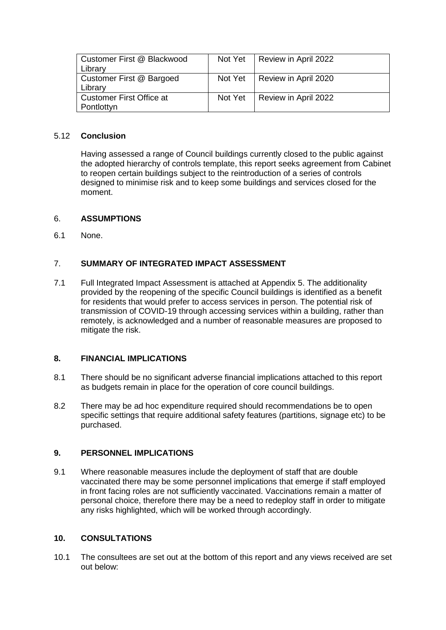| Customer First @ Blackwood<br>Library         | Not Yet | Review in April 2022 |
|-----------------------------------------------|---------|----------------------|
| Customer First @ Bargoed<br>Library           | Not Yet | Review in April 2020 |
| <b>Customer First Office at</b><br>Pontlottyn | Not Yet | Review in April 2022 |

## 5.12 **Conclusion**

Having assessed a range of Council buildings currently closed to the public against the adopted hierarchy of controls template, this report seeks agreement from Cabinet to reopen certain buildings subject to the reintroduction of a series of controls designed to minimise risk and to keep some buildings and services closed for the moment.

#### 6. **ASSUMPTIONS**

6.1 None.

#### 7. **SUMMARY OF INTEGRATED IMPACT ASSESSMENT**

7.1 Full Integrated Impact Assessment is attached at Appendix 5. The additionality provided by the reopening of the specific Council buildings is identified as a benefit for residents that would prefer to access services in person. The potential risk of transmission of COVID-19 through accessing services within a building, rather than remotely, is acknowledged and a number of reasonable measures are proposed to mitigate the risk.

#### **8. FINANCIAL IMPLICATIONS**

- 8.1 There should be no significant adverse financial implications attached to this report as budgets remain in place for the operation of core council buildings.
- 8.2 There may be ad hoc expenditure required should recommendations be to open specific settings that require additional safety features (partitions, signage etc) to be purchased.

#### **9. PERSONNEL IMPLICATIONS**

9.1 Where reasonable measures include the deployment of staff that are double vaccinated there may be some personnel implications that emerge if staff employed in front facing roles are not sufficiently vaccinated. Vaccinations remain a matter of personal choice, therefore there may be a need to redeploy staff in order to mitigate any risks highlighted, which will be worked through accordingly.

### **10. CONSULTATIONS**

10.1 The consultees are set out at the bottom of this report and any views received are set out below: